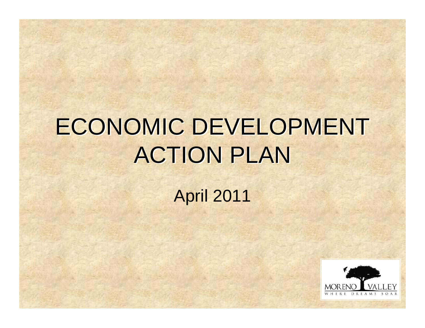# ECONOMIC DEVELOPMENT **ACTION PLAN**

### April 2011

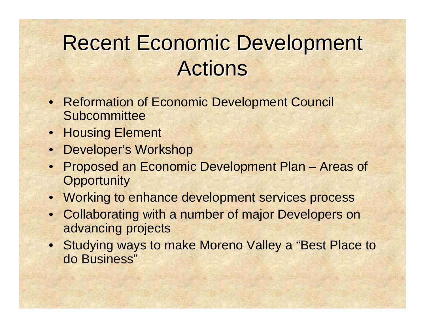### Recent Economic Development **Actions**

- Reformation of Economic Development Council **Subcommittee**
- Housing Element
- Developer's Workshop
- Proposed an Economic Development Plan Areas of **Opportunity**
- Working to enhance development services process
- Collaborating with a number of major Developers on advancing projects
- Studying ways to make Moreno Valley a "Best Place to do Business"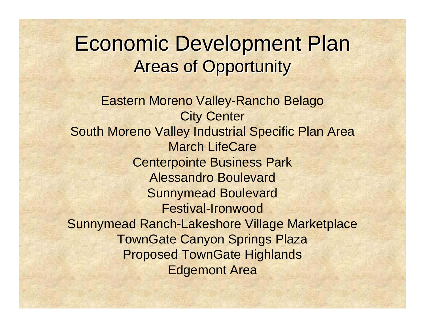### Economic Development Plan **Areas of Opportunity**

Eastern Moreno Valley-Rancho Belago City Center South Moreno Valley Industrial Specific Plan Area March LifeCareCenterpointe Business Park Alessandro Boulevard Sunnymead Boulevard Festival-IronwoodSunnymead Ranch-Lakeshore Village Marketplace TownGate Canyon Springs Plaza Proposed TownGate Highlands Edgemont Area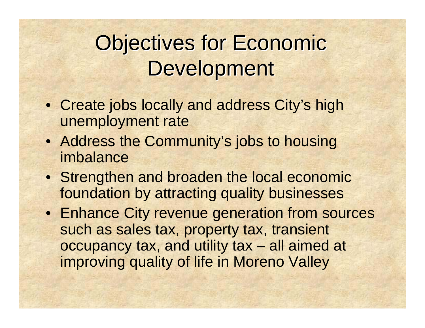### **Objectives for Economic** Development

- Create jobs locally and address City's high unemployment rate
- Address the Community's jobs to housing imbalance
- Strengthen and broaden the local economic foundation by attracting quality businesses
- Enhance City revenue generation from sources such as sales tax, property tax, transient occupancy tax, and utility tax – all aimed at improving quality of life in Moreno Valley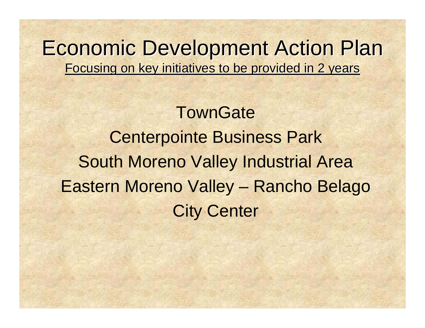**Economic Development Action Plan** Focusing on key initiatives to be provided in 2 years

**TownGate** Centerpointe Business Park South Moreno Valley Industrial Area Eastern Moreno Valley – Rancho Belago City Center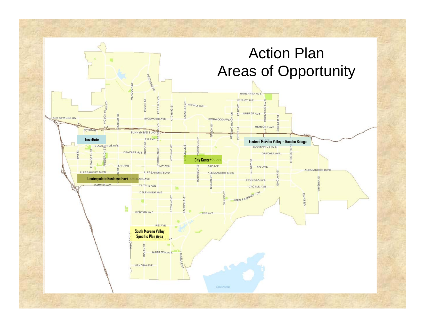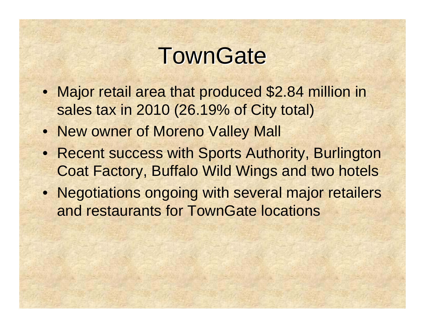### **TownGate**

- Major retail area that produced \$2.84 million in sales tax in 2010 (26.19% of City total)
- New owner of Moreno Valley Mall
- Recent success with Sports Authority, Burlington Coat Factory, Buffalo Wild Wings and two hotels
- Negotiations ongoing with several major retailers and restaurants for TownGate locations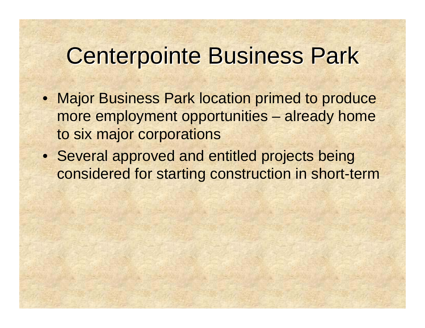### **Centerpointe Business Park**

- Major Business Park location primed to produce more employment opportunities – already home to six major corporations
- Several approved and entitled projects being considered for starting construction in short-term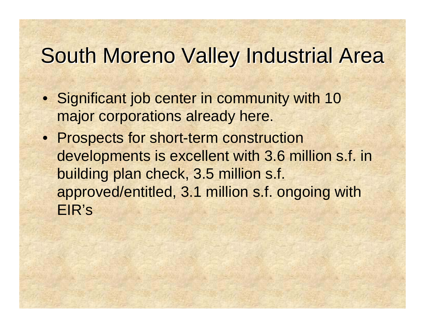### South Moreno Valley Industrial Area

- Significant job center in community with 10 major corporations already here.
- Prospects for short-term construction developments is excellent with 3.6 million s.f. in building plan check, 3.5 million s.f. approved/entitled, 3.1 million s.f. ongoing with EIR's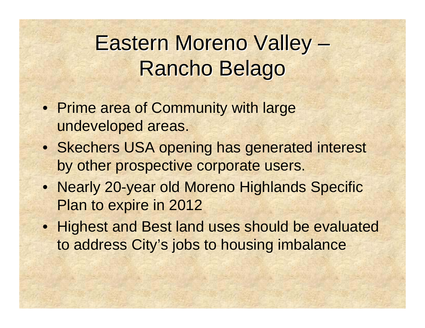#### Eastern Moreno Valley – –Rancho Belago

- Prime area of Community with large undeveloped areas.
- Skechers USA opening has generated interest by other prospective corporate users.
- Nearly 20-year old Moreno Highlands Specific Plan to expire in 2012
- Highest and Best land uses should be evaluated to address City's jobs to housing imbalance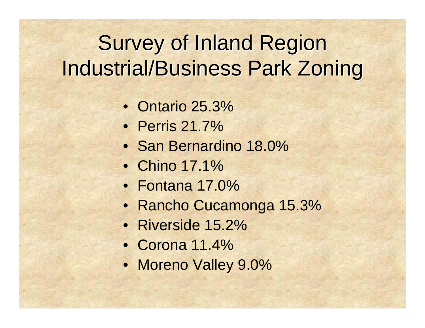# **Survey of Inland Region Industrial/Business Park Zoning**

- Ontario 25.3%
- Perris 21.7%
- San Bernardino 18.0%
- Chino 17.1%
- Fontana 17.0%
- Rancho Cucamonga 15.3%
- Riverside 15.2%
- Corona 11.4%
- Moreno Valley 9.0%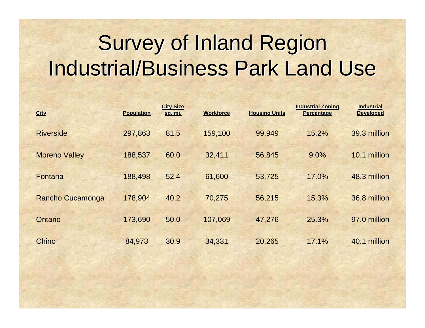# **Survey of Inland Region Industrial/Business Park Land Use**

| <b>City</b>             | <b>Population</b> | <b>City Size</b><br><u>sq. mi.</u> | <b>Workforce</b> | <b>Housing Units</b> | <b>Industrial Zoning</b><br><b>Percentage</b> | <b>Industrial</b><br><b>Developed</b> |
|-------------------------|-------------------|------------------------------------|------------------|----------------------|-----------------------------------------------|---------------------------------------|
| <b>Riverside</b>        | 297,863           | 81.5                               | 159,100          | 99,949               | 15.2%                                         | 39.3 million                          |
| <b>Moreno Valley</b>    | 188,537           | 60.0                               | 32,411           | 56,845               | 9.0%                                          | 10.1 million                          |
| Fontana                 | 188,498           | 52.4                               | 61,600           | 53,725               | 17.0%                                         | 48.3 million                          |
| <b>Rancho Cucamonga</b> | 178,904           | 40.2                               | 70,275           | 56,215               | 15.3%                                         | 36.8 million                          |
| <b>Ontario</b>          | 173,690           | 50.0                               | 107,069          | 47,276               | 25.3%                                         | 97.0 million                          |
| Chino                   | 84,973            | 30.9                               | 34,331           | 20,265               | 17.1%                                         | 40.1 million                          |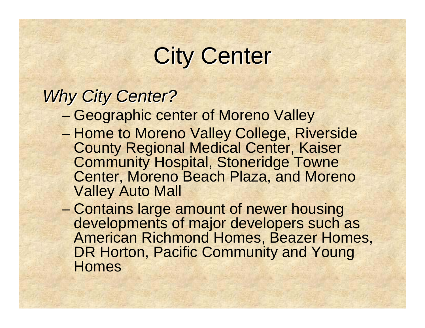# **City Center**

### *Why City Center? Why City Center?*

- Geographic center of Moreno Valley
- Home to Moreno Valley College, Riverside County Regional Medical Center, Kaiser Community Hospital, Stoneridge Towne Center, Moreno Beach Plaza, and Moreno Valley Auto Mall
- Contains large amount of newer housing developments of major developers such as American Richmond Homes, Beazer Homes, DR Horton, Pacific Community and Young **Homes**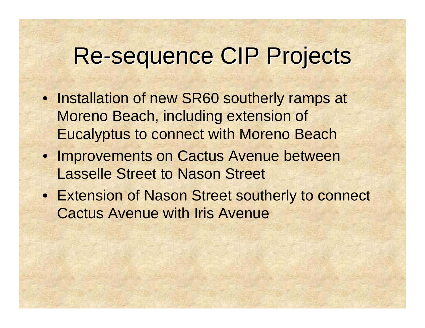## Re-sequence CIP Projects

- Installation of new SR60 southerly ramps at Moreno Beach, including extension of Eucalyptus to connect with Moreno Beach
- Improvements on Cactus Avenue between Lasselle Street to Nason Street
- Extension of Nason Street southerly to connect Cactus Avenue with Iris Avenue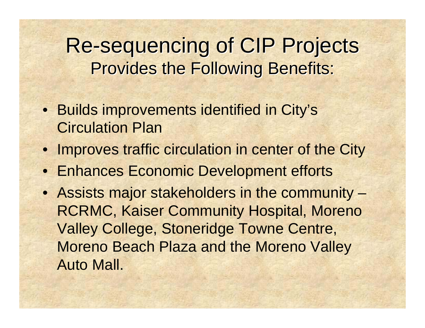Re-sequencing of CIP Projects **Provides the Following Benefits:** 

- Builds improvements identified in City's Circulation Plan
- Improves traffic circulation in center of the City
- Enhances Economic Development efforts
- Assists major stakeholders in the community RCRMC, Kaiser Community Hospital, Moreno Valley College, Stoneridge Towne Centre, Moreno Beach Plaza and the Moreno Valley Auto Mall.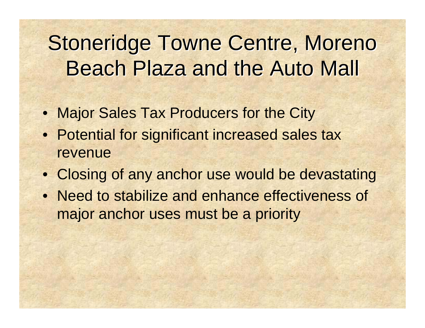### Stoneridge Towne Centre, Moreno Beach Plaza and the Auto Mall

- Major Sales Tax Producers for the City
- Potential for significant increased sales tax revenue
- Closing of any anchor use would be devastating
- Need to stabilize and enhance effectiveness of major anchor uses must be a priority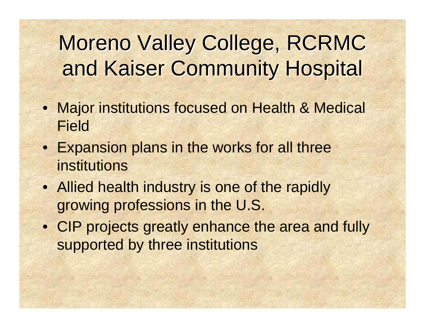# Moreno Valley College, RCRMC and Kaiser Community Hospital

- Major institutions focused on Health & Medical Field
- Expansion plans in the works for all three institutions
- Allied health industry is one of the rapidly growing professions in the U.S.
- CIP projects greatly enhance the area and fully supported by three institutions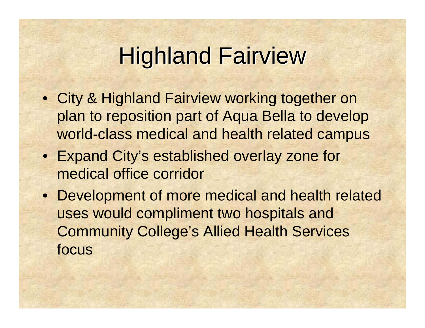## **Highland Fairview**

- City & Highland Fairview working together on plan to reposition part of Aqua Bella to develop world-class medical and health related campus
- Expand City's established overlay zone for medical office corridor
- Development of more medical and health related uses would compliment two hospitals and Community College's Allied Health Services focus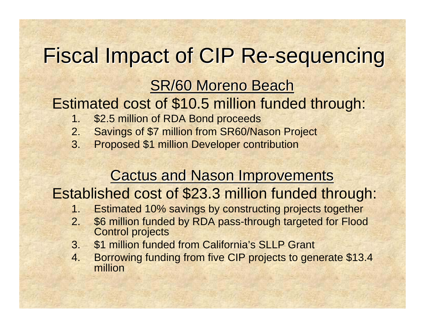### Fiscal Impact of CIP Re-sequencing

### **SR/60 Moreno Beach**

#### Estimated cost of \$10.5 million funded through:

- 1. \$2.5 million of RDA Bond proceeds
- 2. Savings of \$7 million from SR60/Nason Project
- 3. Proposed \$1 million Developer contribution

### **Cactus and Nason Improvements**

### Established cost of \$23.3 million funded through:

- 1. Estimated 10% savings by constructing projects together
- 2. \$6 million funded by RDA pass-through targeted for Flood Control projects
- 3. \$1 million funded from California's SLLP Grant
- 4. Borrowing funding from five CIP projects to generate \$13.4 million